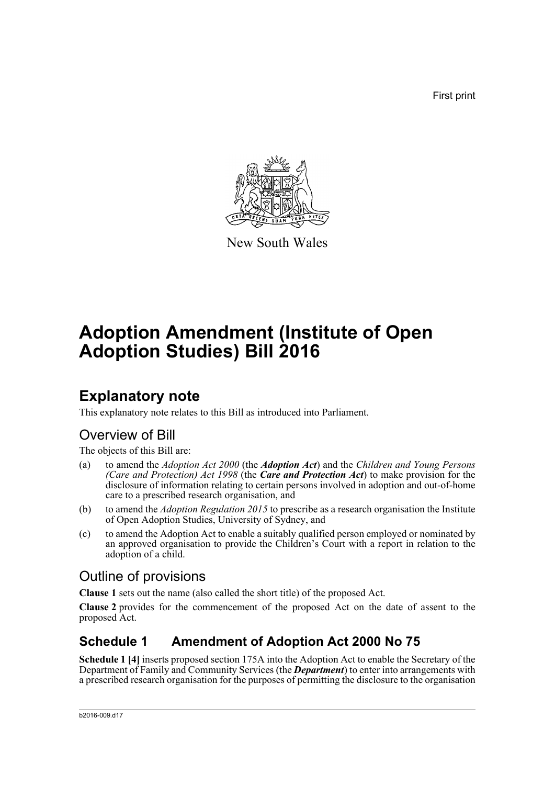First print



New South Wales

# **Adoption Amendment (Institute of Open Adoption Studies) Bill 2016**

# **Explanatory note**

This explanatory note relates to this Bill as introduced into Parliament.

# Overview of Bill

The objects of this Bill are:

- (a) to amend the *Adoption Act 2000* (the *Adoption Act*) and the *Children and Young Persons (Care and Protection) Act 1998* (the *Care and Protection Act*) to make provision for the disclosure of information relating to certain persons involved in adoption and out-of-home care to a prescribed research organisation, and
- (b) to amend the *Adoption Regulation 2015* to prescribe as a research organisation the Institute of Open Adoption Studies, University of Sydney, and
- (c) to amend the Adoption Act to enable a suitably qualified person employed or nominated by an approved organisation to provide the Children's Court with a report in relation to the adoption of a child.

# Outline of provisions

**Clause 1** sets out the name (also called the short title) of the proposed Act.

**Clause 2** provides for the commencement of the proposed Act on the date of assent to the proposed Act.

# **Schedule 1 Amendment of Adoption Act 2000 No 75**

**Schedule 1 [4]** inserts proposed section 175A into the Adoption Act to enable the Secretary of the Department of Family and Community Services (the *Department*) to enter into arrangements with a prescribed research organisation for the purposes of permitting the disclosure to the organisation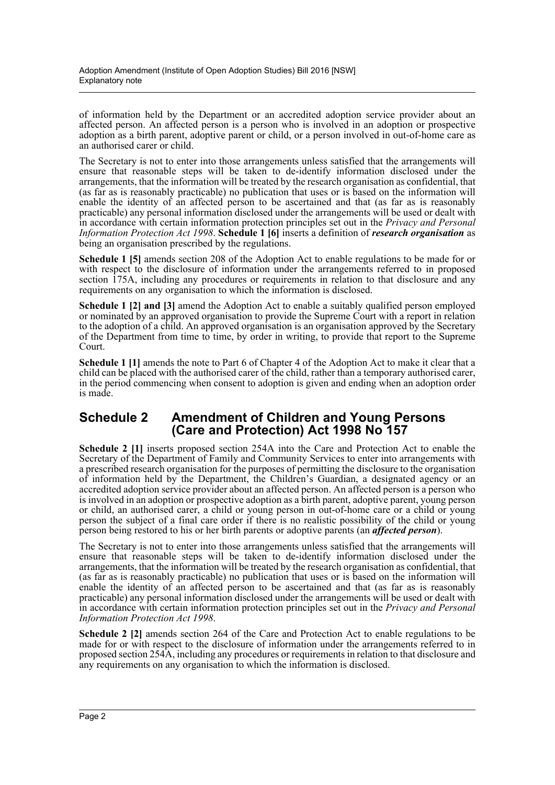of information held by the Department or an accredited adoption service provider about an affected person. An affected person is a person who is involved in an adoption or prospective adoption as a birth parent, adoptive parent or child, or a person involved in out-of-home care as an authorised carer or child.

The Secretary is not to enter into those arrangements unless satisfied that the arrangements will ensure that reasonable steps will be taken to de-identify information disclosed under the arrangements, that the information will be treated by the research organisation as confidential, that (as far as is reasonably practicable) no publication that uses or is based on the information will enable the identity of an affected person to be ascertained and that (as far as is reasonably practicable) any personal information disclosed under the arrangements will be used or dealt with in accordance with certain information protection principles set out in the *Privacy and Personal Information Protection Act 1998*. **Schedule 1 [6]** inserts a definition of *research organisation* as being an organisation prescribed by the regulations.

**Schedule 1 [5]** amends section 208 of the Adoption Act to enable regulations to be made for or with respect to the disclosure of information under the arrangements referred to in proposed section 175A, including any procedures or requirements in relation to that disclosure and any requirements on any organisation to which the information is disclosed.

**Schedule 1 [2] and [3]** amend the Adoption Act to enable a suitably qualified person employed or nominated by an approved organisation to provide the Supreme Court with a report in relation to the adoption of a child. An approved organisation is an organisation approved by the Secretary of the Department from time to time, by order in writing, to provide that report to the Supreme Court.

**Schedule 1 [1]** amends the note to Part 6 of Chapter 4 of the Adoption Act to make it clear that a child can be placed with the authorised carer of the child, rather than a temporary authorised carer, in the period commencing when consent to adoption is given and ending when an adoption order is made.

## **Schedule 2 Amendment of Children and Young Persons (Care and Protection) Act 1998 No 157**

**Schedule 2 [1]** inserts proposed section 254A into the Care and Protection Act to enable the Secretary of the Department of Family and Community Services to enter into arrangements with a prescribed research organisation for the purposes of permitting the disclosure to the organisation of information held by the Department, the Children's Guardian, a designated agency or an accredited adoption service provider about an affected person. An affected person is a person who is involved in an adoption or prospective adoption as a birth parent, adoptive parent, young person or child, an authorised carer, a child or young person in out-of-home care or a child or young person the subject of a final care order if there is no realistic possibility of the child or young person being restored to his or her birth parents or adoptive parents (an *affected person*).

The Secretary is not to enter into those arrangements unless satisfied that the arrangements will ensure that reasonable steps will be taken to de-identify information disclosed under the arrangements, that the information will be treated by the research organisation as confidential, that (as far as is reasonably practicable) no publication that uses or is based on the information will enable the identity of an affected person to be ascertained and that (as far as is reasonably practicable) any personal information disclosed under the arrangements will be used or dealt with in accordance with certain information protection principles set out in the *Privacy and Personal Information Protection Act 1998*.

**Schedule 2 [2]** amends section 264 of the Care and Protection Act to enable regulations to be made for or with respect to the disclosure of information under the arrangements referred to in proposed section 254A, including any procedures or requirements in relation to that disclosure and any requirements on any organisation to which the information is disclosed.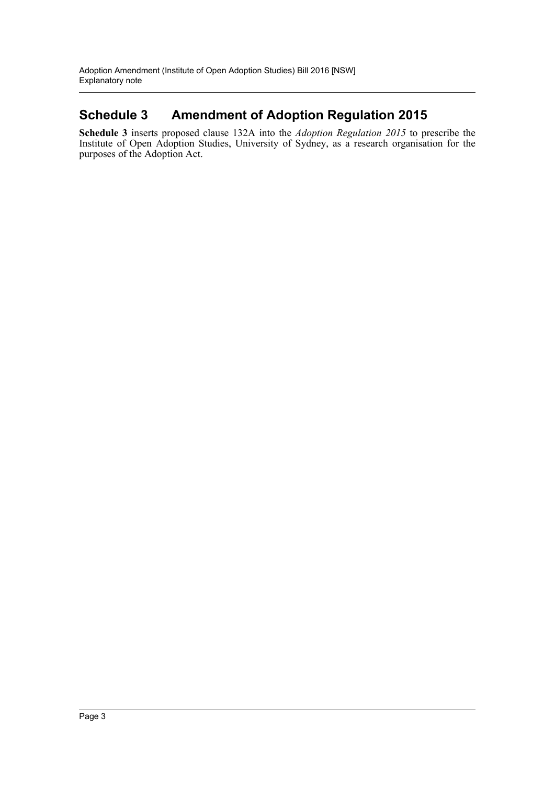# **Schedule 3 Amendment of Adoption Regulation 2015**

**Schedule 3** inserts proposed clause 132A into the *Adoption Regulation 2015* to prescribe the Institute of Open Adoption Studies, University of Sydney, as a research organisation for the purposes of the Adoption Act.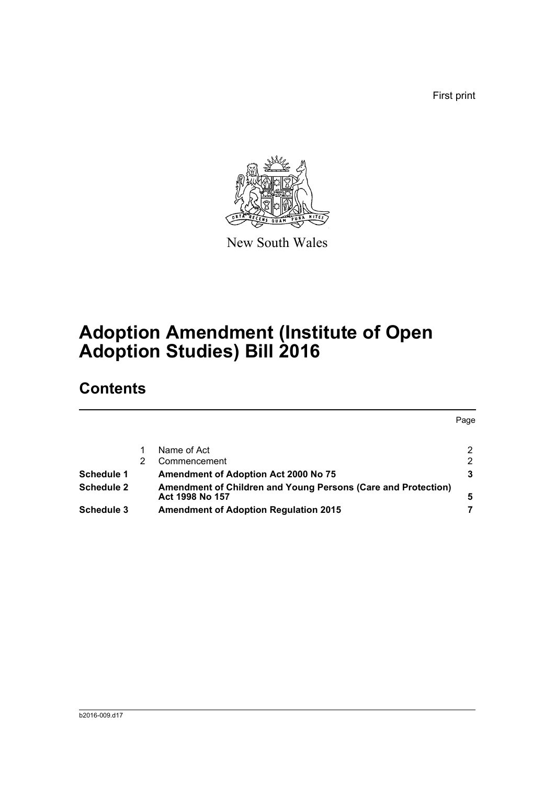First print



New South Wales

# **Adoption Amendment (Institute of Open Adoption Studies) Bill 2016**

# **Contents**

|                   |                                                                                  | Page |
|-------------------|----------------------------------------------------------------------------------|------|
|                   | Name of Act                                                                      | 2    |
|                   | Commencement                                                                     | 2    |
| Schedule 1        | Amendment of Adoption Act 2000 No 75                                             | 3    |
| <b>Schedule 2</b> | Amendment of Children and Young Persons (Care and Protection)<br>Act 1998 No 157 | 5    |
| <b>Schedule 3</b> | <b>Amendment of Adoption Regulation 2015</b>                                     |      |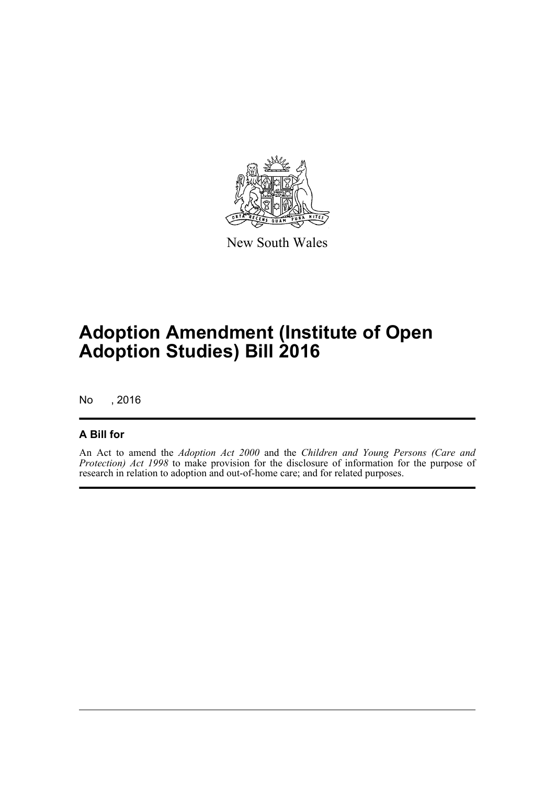

New South Wales

# **Adoption Amendment (Institute of Open Adoption Studies) Bill 2016**

No , 2016

## **A Bill for**

An Act to amend the *Adoption Act 2000* and the *Children and Young Persons (Care and Protection) Act 1998* to make provision for the disclosure of information for the purpose of research in relation to adoption and out-of-home care; and for related purposes.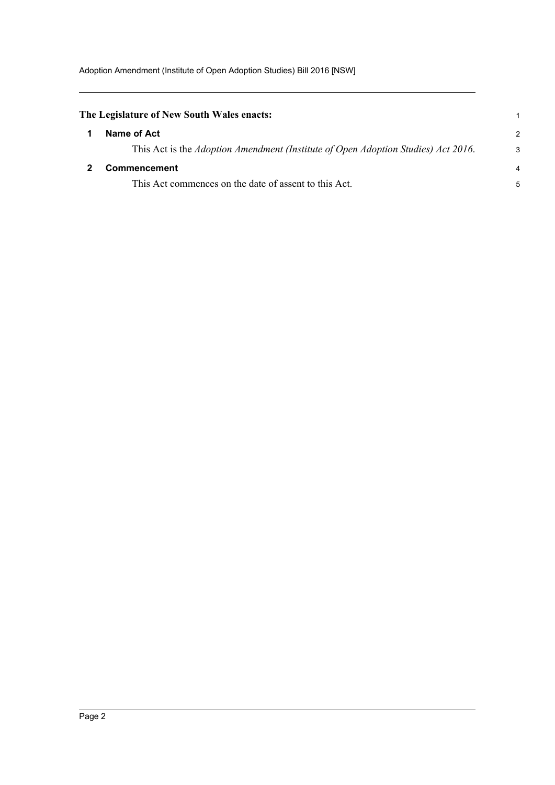<span id="page-5-1"></span><span id="page-5-0"></span>

| $\mathcal{P}$ |
|---------------|
| 3             |
| 4             |
| 5             |
|               |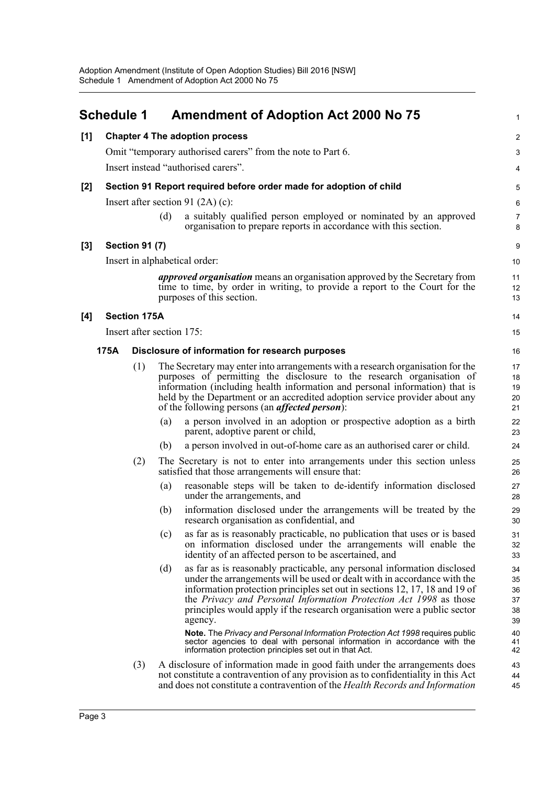<span id="page-6-0"></span>

|       | <b>Schedule 1</b> |                               |     | <b>Amendment of Adoption Act 2000 No 75</b>                                                                                                                                                                                                                                                                                                                                                                                                                                                   | 1                                      |  |
|-------|-------------------|-------------------------------|-----|-----------------------------------------------------------------------------------------------------------------------------------------------------------------------------------------------------------------------------------------------------------------------------------------------------------------------------------------------------------------------------------------------------------------------------------------------------------------------------------------------|----------------------------------------|--|
| [1]   |                   |                               |     | <b>Chapter 4 The adoption process</b>                                                                                                                                                                                                                                                                                                                                                                                                                                                         | 2                                      |  |
|       |                   |                               |     | Omit "temporary authorised carers" from the note to Part 6.                                                                                                                                                                                                                                                                                                                                                                                                                                   | 3                                      |  |
|       |                   |                               |     | Insert instead "authorised carers".                                                                                                                                                                                                                                                                                                                                                                                                                                                           | 4                                      |  |
| [2]   |                   |                               |     | Section 91 Report required before order made for adoption of child                                                                                                                                                                                                                                                                                                                                                                                                                            | 5                                      |  |
|       |                   |                               |     | Insert after section 91 $(2A)$ (c):                                                                                                                                                                                                                                                                                                                                                                                                                                                           | 6                                      |  |
|       |                   |                               | (d) | a suitably qualified person employed or nominated by an approved<br>organisation to prepare reports in accordance with this section.                                                                                                                                                                                                                                                                                                                                                          | $\overline{7}$<br>8                    |  |
| $[3]$ |                   | <b>Section 91 (7)</b>         |     |                                                                                                                                                                                                                                                                                                                                                                                                                                                                                               | 9                                      |  |
|       |                   | Insert in alphabetical order: |     |                                                                                                                                                                                                                                                                                                                                                                                                                                                                                               |                                        |  |
|       |                   |                               |     | <i>approved organisation</i> means an organisation approved by the Secretary from<br>time to time, by order in writing, to provide a report to the Court for the<br>purposes of this section.                                                                                                                                                                                                                                                                                                 | 11<br>12<br>13                         |  |
| [4]   |                   | <b>Section 175A</b>           |     |                                                                                                                                                                                                                                                                                                                                                                                                                                                                                               | 14                                     |  |
|       |                   | Insert after section 175:     |     |                                                                                                                                                                                                                                                                                                                                                                                                                                                                                               | 15                                     |  |
|       | 175A              |                               |     | Disclosure of information for research purposes                                                                                                                                                                                                                                                                                                                                                                                                                                               | 16                                     |  |
|       |                   | (1)                           |     | The Secretary may enter into arrangements with a research organisation for the<br>purposes of permitting the disclosure to the research organisation of<br>information (including health information and personal information) that is<br>held by the Department or an accredited adoption service provider about any<br>of the following persons (an <i>affected person</i> ):                                                                                                               | 17<br>18<br>19<br>20<br>21             |  |
|       |                   |                               | (a) | a person involved in an adoption or prospective adoption as a birth<br>parent, adoptive parent or child,                                                                                                                                                                                                                                                                                                                                                                                      | 22<br>23                               |  |
|       |                   |                               | (b) | a person involved in out-of-home care as an authorised carer or child.                                                                                                                                                                                                                                                                                                                                                                                                                        | 24                                     |  |
|       |                   | (2)                           |     | The Secretary is not to enter into arrangements under this section unless<br>satisfied that those arrangements will ensure that:                                                                                                                                                                                                                                                                                                                                                              | 25<br>26                               |  |
|       |                   |                               | (a) | reasonable steps will be taken to de-identify information disclosed<br>under the arrangements, and                                                                                                                                                                                                                                                                                                                                                                                            | 27<br>28                               |  |
|       |                   |                               | (b) | information disclosed under the arrangements will be treated by the<br>research organisation as confidential, and                                                                                                                                                                                                                                                                                                                                                                             | 29<br>30                               |  |
|       |                   |                               | (c) | as far as is reasonably practicable, no publication that uses or is based<br>on information disclosed under the arrangements will enable the<br>identity of an affected person to be ascertained, and                                                                                                                                                                                                                                                                                         | 31<br>32<br>33                         |  |
|       |                   |                               | (d) | as far as is reasonably practicable, any personal information disclosed<br>under the arrangements will be used or dealt with in accordance with the<br>information protection principles set out in sections 12, 17, 18 and 19 of<br>the <i>Privacy and Personal Information Protection Act 1998</i> as those<br>principles would apply if the research organisation were a public sector<br>agency.<br><b>Note.</b> The Privacy and Personal Information Protection Act 1998 requires public | 34<br>35<br>36<br>37<br>38<br>39<br>40 |  |
|       |                   |                               |     | sector agencies to deal with personal information in accordance with the<br>information protection principles set out in that Act.                                                                                                                                                                                                                                                                                                                                                            | 41<br>42                               |  |
|       |                   | (3)                           |     | A disclosure of information made in good faith under the arrangements does<br>not constitute a contravention of any provision as to confidentiality in this Act<br>and does not constitute a contravention of the Health Records and Information                                                                                                                                                                                                                                              | 43<br>44<br>45                         |  |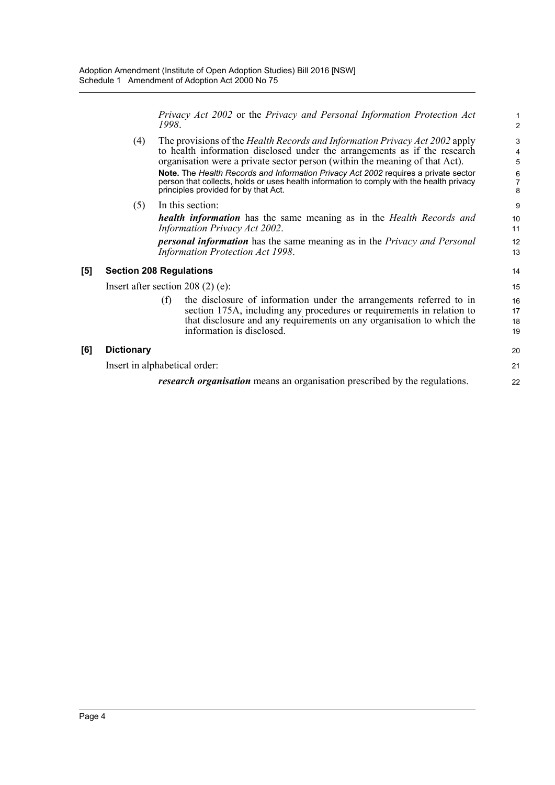*Privacy Act 2002* or the *Privacy and Personal Information Protection Act 1998*.

11 12 13

| (4) | The provisions of the <i>Health Records and Information Privacy Act 2002</i> apply<br>to health information disclosed under the arrangements as if the research<br>organisation were a private sector person (within the meaning of that Act). |        |  |
|-----|------------------------------------------------------------------------------------------------------------------------------------------------------------------------------------------------------------------------------------------------|--------|--|
|     | <b>Note.</b> The Health Records and Information Privacy Act 2002 requires a private sector<br>person that collects, holds or uses health information to comply with the health privacy<br>principles provided for by that Act.                 | 6<br>8 |  |
|     | In this section:                                                                                                                                                                                                                               | 9      |  |
|     | health information has the same meaning as in the Health Records and                                                                                                                                                                           | 10     |  |

*Information Privacy Act 2002*. *personal information* has the same meaning as in the *Privacy and Personal Information Protection Act 1998*.

### **[5] Section 208 Regulations**

Insert after section 208 (2) (e):

(f) the disclosure of information under the arrangements referred to in section 175A, including any procedures or requirements in relation to that disclosure and any requirements on any organisation to which the information is disclosed.

### **[6] Dictionary**

Insert in alphabetical order:

*research organisation* means an organisation prescribed by the regulations.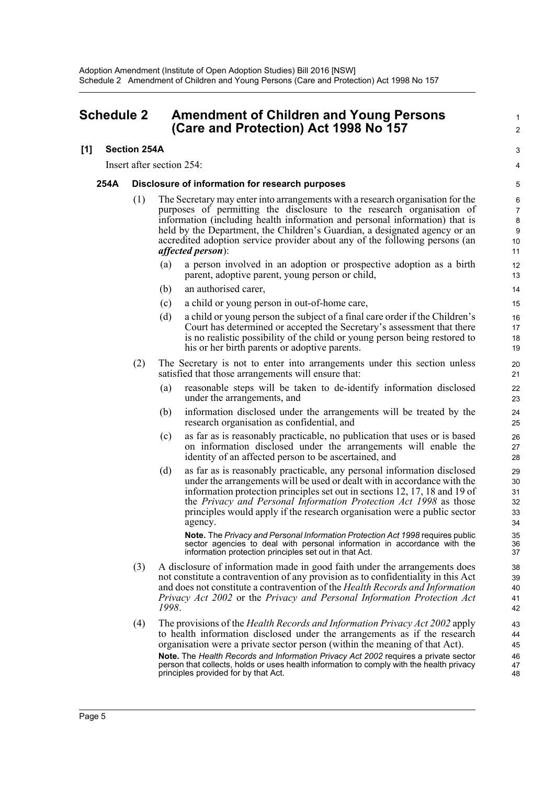## <span id="page-8-0"></span>**Schedule 2 Amendment of Children and Young Persons (Care and Protection) Act 1998 No 157**

### **[1] Section 254A**

Insert after section 254:

#### **254A Disclosure of information for research purposes**

- (1) The Secretary may enter into arrangements with a research organisation for the purposes of permitting the disclosure to the research organisation of information (including health information and personal information) that is held by the Department, the Children's Guardian, a designated agency or an accredited adoption service provider about any of the following persons (an *affected person*):
	- (a) a person involved in an adoption or prospective adoption as a birth parent, adoptive parent, young person or child,

1  $\mathcal{L}$ 

3 4

- (b) an authorised carer,
- (c) a child or young person in out-of-home care,
- (d) a child or young person the subject of a final care order if the Children's Court has determined or accepted the Secretary's assessment that there is no realistic possibility of the child or young person being restored to his or her birth parents or adoptive parents.
- (2) The Secretary is not to enter into arrangements under this section unless satisfied that those arrangements will ensure that:
	- (a) reasonable steps will be taken to de-identify information disclosed under the arrangements, and
	- (b) information disclosed under the arrangements will be treated by the research organisation as confidential, and
	- (c) as far as is reasonably practicable, no publication that uses or is based on information disclosed under the arrangements will enable the identity of an affected person to be ascertained, and
	- (d) as far as is reasonably practicable, any personal information disclosed under the arrangements will be used or dealt with in accordance with the information protection principles set out in sections 12, 17, 18 and 19 of the *Privacy and Personal Information Protection Act 1998* as those principles would apply if the research organisation were a public sector agency.

**Note.** The *Privacy and Personal Information Protection Act 1998* requires public sector agencies to deal with personal information in accordance with the information protection principles set out in that Act.

- (3) A disclosure of information made in good faith under the arrangements does not constitute a contravention of any provision as to confidentiality in this Act and does not constitute a contravention of the *Health Records and Information Privacy Act 2002* or the *Privacy and Personal Information Protection Act 1998*.
- (4) The provisions of the *Health Records and Information Privacy Act 2002* apply to health information disclosed under the arrangements as if the research organisation were a private sector person (within the meaning of that Act). **Note.** The *Health Records and Information Privacy Act 2002* requires a private sector person that collects, holds or uses health information to comply with the health privacy principles provided for by that Act.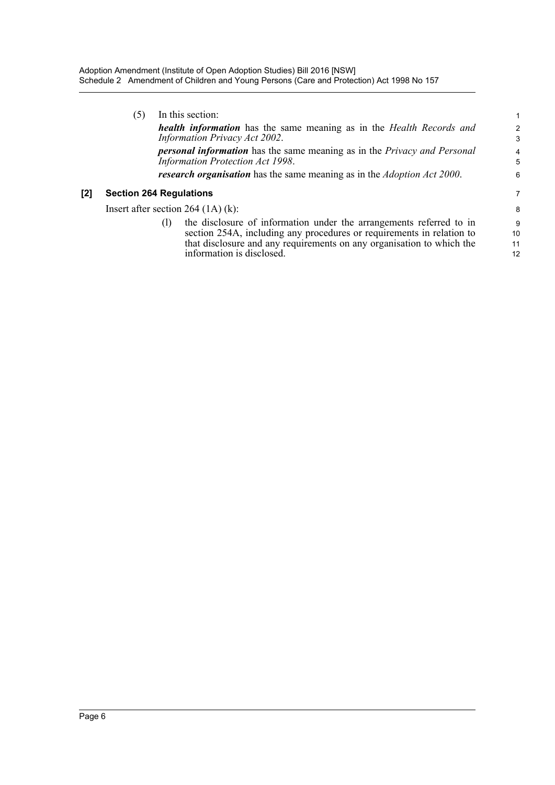|       | (5)                                  | In this section:                                                                                                                                                                                                                                          |                     |
|-------|--------------------------------------|-----------------------------------------------------------------------------------------------------------------------------------------------------------------------------------------------------------------------------------------------------------|---------------------|
|       |                                      | <b>health information</b> has the same meaning as in the Health Records and<br>Information Privacy Act 2002.                                                                                                                                              | $\overline{a}$<br>3 |
|       |                                      | <b>personal information</b> has the same meaning as in the Privacy and Personal<br>Information Protection Act 1998.                                                                                                                                       | 4<br>5              |
|       |                                      | <b>research organisation</b> has the same meaning as in the <i>Adoption Act 2000</i> .                                                                                                                                                                    | 6                   |
| $[2]$ | <b>Section 264 Regulations</b>       |                                                                                                                                                                                                                                                           | 7                   |
|       | Insert after section $264$ (1A) (k): |                                                                                                                                                                                                                                                           |                     |
|       |                                      | the disclosure of information under the arrangements referred to in<br>(1)<br>section 254A, including any procedures or requirements in relation to<br>that disclosure and any requirements on any organisation to which the<br>information is disclosed. | 9<br>10<br>11<br>12 |